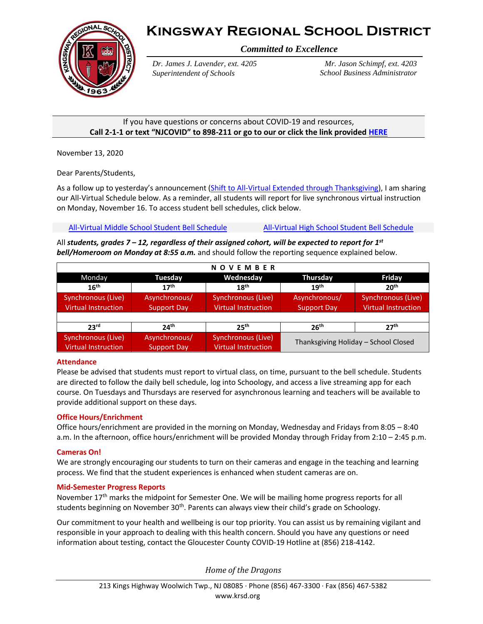



*Committed to Excellence*

*Dr. James J. Lavender, ext. 4205 Superintendent of Schools*

*Mr. Jason Schimpf, ext. 4203 School Business Administrator*

### If you have questions or concerns about COVID-19 and resources, **Call 2-1-1 or text "NJCOVID" to 898-211 or go to our or click the link provide[d HERE](https://www.nj.gov/dcf/news/Hotlines&Helplines-COVID.pdf)**

November 13, 2020

Dear Parents/Students,

As a follow up to yesterday's announcement [\(Shift to All-Virtual Extended through](https://www.krsd.org/cms/lib/NJ01912751/Centricity/Domain/121/Superintendent%20Update%20Shifts%20to%20All%20Virtual%20Through%20Thanksgiving%2011.12.2020.pdf) Thanksgiving), I am sharing our All-Virtual Schedule below. As a reminder, all students will report for live synchronous virtual instruction on Monday, November 16. To access student bell schedules, click below.

[All-Virtual Middle School](https://www.krsd.org/domain/227) Student Bell Schedule [All-Virtual High School Student Bell Schedule](https://www.krsd.org/Page/1884)

All *students, grades 7 – 12, regardless of their assigned cohort, will be expected to report for 1 st bell/Homeroom on Monday at 8:55 a.m.* and should follow the reporting sequence explained below.

| <b>NOVEMBER</b>            |                    |                            |                                      |                            |
|----------------------------|--------------------|----------------------------|--------------------------------------|----------------------------|
| Monday                     | Tuesday            | Wednesday                  | <b>Thursday</b>                      | Friday                     |
| 16 <sup>th</sup>           | 17 <sup>th</sup>   | 18 <sup>th</sup>           | 19 <sup>th</sup>                     | 20 <sup>th</sup>           |
| Synchronous (Live)         | Asynchronous/      | Synchronous (Live)         | Asynchronous/                        | Synchronous (Live)         |
| <b>Virtual Instruction</b> | <b>Support Day</b> | <b>Virtual Instruction</b> | <b>Support Day</b>                   | <b>Virtual Instruction</b> |
|                            |                    |                            |                                      |                            |
| 23 <sup>rd</sup>           | 24 <sup>th</sup>   | 25 <sup>th</sup>           | 26 <sup>th</sup>                     | 27 <sup>th</sup>           |
| Synchronous (Live)         | Asynchronous/      | Synchronous (Live)         | Thanksgiving Holiday - School Closed |                            |
| <b>Virtual Instruction</b> | <b>Support Day</b> | Virtual Instruction        |                                      |                            |

## **Attendance**

Please be advised that students must report to virtual class, on time, pursuant to the bell schedule. Students are directed to follow the daily bell schedule, log into Schoology, and access a live streaming app for each course. On Tuesdays and Thursdays are reserved for asynchronous learning and teachers will be available to provide additional support on these days.

## **Office Hours/Enrichment**

Office hours/enrichment are provided in the morning on Monday, Wednesday and Fridays from 8:05 – 8:40 a.m. In the afternoon, office hours/enrichment will be provided Monday through Friday from 2:10 – 2:45 p.m.

#### **Cameras On!**

We are strongly encouraging our students to turn on their cameras and engage in the teaching and learning process. We find that the student experiences is enhanced when student cameras are on.

#### **Mid-Semester Progress Reports**

November 17<sup>th</sup> marks the midpoint for Semester One. We will be mailing home progress reports for all students beginning on November 30<sup>th</sup>. Parents can always view their child's grade on Schoology.

Our commitment to your health and wellbeing is our top priority. You can assist us by remaining vigilant and responsible in your approach to dealing with this health concern. Should you have any questions or need information about testing, contact the Gloucester County COVID-19 Hotline at (856) 218-4142.

*Home of the Dragons*